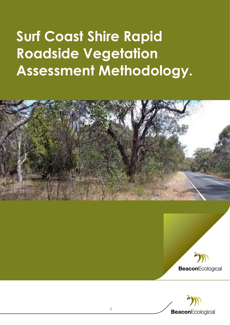# **Surf Coast Shire Rapid Roadside Vegetation Assessment Methodology.**





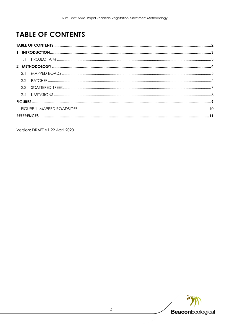# <span id="page-1-0"></span>**TABLE OF CONTENTS**

Version: DRAFT V1 22 April 2020

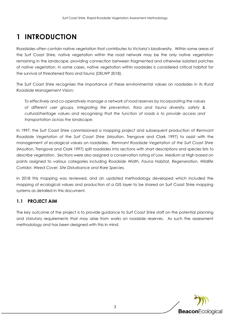# <span id="page-2-0"></span>**1 INTRODUCTION**

Roadsides often contain native vegetation that contributes to Victoria's biodiversity. Within some areas of the Surf Coast Shire, native vegetation within the road network may be the only native vegetation remaining in the landscape, providing connection between fragmented and otherwise isolated patches of native vegetation. In some cases, native vegetation within roadsides is considered critical habitat for the survival of threatened flora and fauna (DELWP 2018).

The Surf Coast Shire recognises the importance of these environmental values on roadsides in its *Rural Roadside Management Vision:* 

*To effectively and co-operatively manage a network of road reserves by incorporating the values of different user groups, integrating fire prevention, flora and fauna diversity, safety & cultural/heritage values and recognising that the function of roads is to provide access and transportation across the landscape.*

In 1997, the Surf Coast Shire commissioned a mapping project and subsequent production of *Remnant Roadside Vegetation of the Surf Coast Shire* (Moulton, Trengove and Clark 1997) to assist with the management of ecological values on roadsides. *Remnant Roadside Vegetation of the Surf Coast Shire*  (Moulton, Trengove and Clark 1997) split roadsides into sections with short descriptions and species lists to describe vegetation. Sections were also assigned a conservation rating of Low, Medium or High based on points assigned to various categories including *Roadside Width, Fauna Habitat, Regeneration, Wildlife Corridor, Weed Cover, Site Disturbance and Rare Species.* 

In 2018 this mapping was reviewed, and an updated methodology developed which included the mapping of ecological values and production of a GIS layer to be shared on Surf Coast Shire mapping systems as detailed in this document.

### <span id="page-2-1"></span>**1.1 PROJECT AIM**

The key outcome of the project is to provide guidance to Surf Coast Shire staff on the potential planning and statutory requirements that may arise from works on roadside reserves. As such the assessment methodology and has been designed with this in mind.

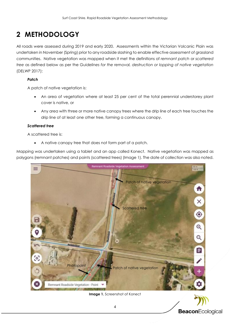# <span id="page-3-0"></span>**2 METHODOLOGY**

All roads were assessed during 2019 and early 2020. Assessments within the Victorian Volcanic Plain was undertaken in November (Spring) prior to any roadside slashing to enable effective assessment of grassland communities. Native vegetation was mapped when it met the definitions of *remnant patch* or *scattered tree* as defined below as per the *Guidelines for the removal, destruction or lopping of native vegetation* (DELWP 2017):

#### *Patch*

A patch of native vegetation is:

- An area of vegetation where at least 25 per cent of the total perennial understorey plant cover is native, or
- Any area with three or more native canopy trees where the drip line of each tree touches the drip line of at least one other tree, forming a continuous canopy.

#### *Scattered tree*

A scattered tree is:

A native canopy tree that does not form part of a patch.

Mapping was undertaken using a tablet and an app called Konect. Native vegetation was mapped as polygons (remnant patches) and points (scattered trees) (Image 1). The date of collection was also noted.



**Image 1.** Screenshot of Konect

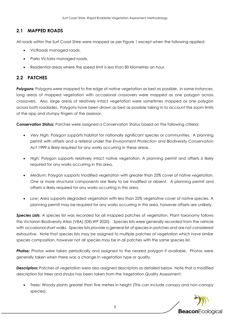### <span id="page-4-0"></span>**2.1 MAPPED ROADS**

All roads within the Surf Coast Shire were mapped as per Figure 1 except when the following applied:

- VicRoads managed roads.
- Parks Victoria managed roads.
- Residential areas where the speed limit is less than 80 kilometres an hour.

## <span id="page-4-1"></span>**2.2 PATCHES**

**Polygons:** Polygons were mapped to the edge of native vegetation as best as possible. In some instances, long areas of mapped vegetation with occasional crossovers were mapped as one polygon across crossovers. Also, large areas of relatively intact vegetation were sometimes mapped as one polygon across both roadsides. Polygons have been drawn as best as possible taking in to account the zoom limits of the app and stumpy fingers of the assessor.

*Conservation Status:* Patches were assigned a Conservation Status based on the following criteria:

- *Very High:* Polygon supports habitat for nationally significant species or communities. A planning permit with offsets and a referral under the *Environment Protection and Biodiversity Conservation Act 1999* is likely required for any works occurring in these areas.
- *High:* Polygon supports relatively intact native vegetation. A planning permit and offsets is likely required for any works occurring in this area.
- *Medium:* Polygon supports modified vegetation with greater than 25% cover of native vegetation. One or more structural components are likely to be modified or absent. A planning permit and offsets is likely required for any works occurring in this area.
- *Low:* Area supports degraded vegetation with less than 25% vegetative cover of native species. A planning permit may be required for any works occurring in this area, however offsets are unlikely.

*Species Lists:* A species list was recorded for all mapped patches of vegetation. Plant taxonomy follows the Victorian Biodiversity Atlas (VBA) (DELWP 2020). Species lists were generally recorded from the vehicle with occasional short walks. Species lists provide a general list of species in patches and are not considered exhaustive. Note that species lists may be assigned to multiple patches of vegetation which have similar species composition, however not all species may be in all patches with the same species list.

**Photos:** Photos were taken periodically and assigned to the nearest polygon if available. Photos were generally taken when there was a change in vegetation type or quality.

**Descriptors:** Patches of vegetation were also assigned descriptors as detailed below. Note that a modified description for trees and shrubs has been taken from the Vegetation Quality Assessment:

 Trees: Woody plants greater than five metres in height (This can include canopy and non-canopy species).

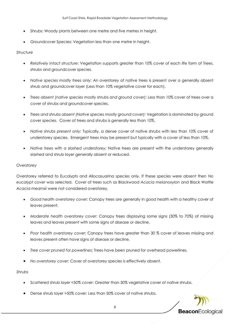- Shrubs: Woody plants between one metre and five metres in height.
- Groundcover Species: Vegetation less than one metre in height.

#### *Structure*

- *Relatively intact structure:* Vegetation supports greater than 10% cover of each life form of Trees, shrubs and groundcover species.
- *Native species mostly trees only:* An overstorey of native trees is present over a generally absent shrub and groundcover layer (Less than 10% vegetative cover for each).
- *Trees absent (native species mostly shrubs and ground cover):* Less than 10% cover of trees over a cover of shrubs and groundcover species.
- *Trees and shrubs absent (Native species mostly ground cover):* Vegetation is dominated by ground cover species. Cover of trees and shrubs is generally less than 10%.
- *Native shrubs present only:* Typically, a dense cover of native shrubs with less than 10% cover of understorey species. Emergent trees may be present but typically with a cover of less than 10%.
- *Native trees with a slashed understorey:* Native trees are present with the understorey generally slashed and shrub layer generally absent or reduced.

#### *Overstorey*

Overstorey referred to Eucalypts and Allocasuarina species only. If these species were absent then *No eucalypt cover* was selected. Cover of trees such as Blackwood *Acacia melanoxylon* and Black Wattle *Acacia mearnsii* were not considered overstorey.

- *Good health overstorey cover:* Canopy trees are generally in good health with a healthy cover of leaves present.
- *Moderate health overstorey cover:* Canopy trees displaying some signs (30% to 70%) of missing leaves and leaves present with some signs of disease or decline.
- *Poor health overstorey cover:* Canopy trees have greater than 30 % cover of leaves missing and leaves present often have signs of disease or decline.
- *Tree cover pruned for powerlines:* Trees have been pruned for overhead powerlines.
- *No overstorey cover:* Cover of overstorey species is effectively absent.

#### *Shrubs*

- Scattered shrub layer <50% cover: Greater than 50% vegetative cover of native shrubs.
- Dense shrub layer >50% cover: Less than 50% cover of native shrubs.

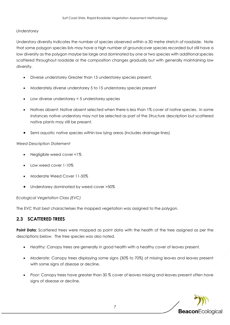#### *Understorey*

Understory diversity indicates the number of species observed within a 30 metre stretch of roadside. Note that some polygon species lists may have a high number of groundcover species recorded but still have a low diversity as the polygon maybe be large and dominated by one or two species with additional species scattered throughout roadside or the composition changes gradually but with generally maintaining low diversity.

- Diverse understorey Greater than 15 understorey species present.
- Moderately diverse understorey 5 to 15 understorey species present
- Low diverse understorey < 5 understorey species
- Natives absent: Native absent selected when there is less than 1% cover of native species. In some instances native understory may not be selected as part of the *Structure* description but scattered native plants may still be present.
- Semi aquatic native species within low lying areas (includes drainage lines)

#### *Weed Description Statement*

- Negligible weed cover <1%
- Low weed cover 1-10%
- Moderate Weed Cover 11-50%
- Understorey dominated by weed cover >50%

*Ecological Vegetation Class (EVC)*

The EVC that best characterises the mapped vegetation was assigned to the polygon.

### <span id="page-6-0"></span>**2.3 SCATTERED TREES**

**Point Data:** Scattered trees were mapped as point data with the health of the tree assigned as per the descriptions below. The tree species was also noted.

- *Healthy:* Canopy trees are generally in good health with a healthy cover of leaves present.
- *Moderate:* Canopy trees displaying some signs (30% to 70%) of missing leaves and leaves present with some signs of disease or decline.
- *Poor:* Canopy trees have greater than 30 % cover of leaves missing and leaves present often have signs of disease or decline.

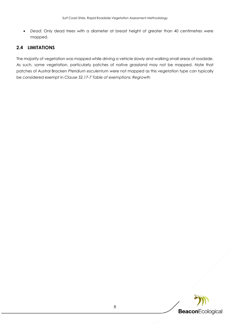*Dead:* Only dead trees with a diameter at breast height of greater than 40 centimetres were mapped.

### <span id="page-7-0"></span>**2.4 LIMITATIONS**

The majority of vegetation was mapped while driving a vehicle slowly and walking small areas of roadside. As such, some vegetation, particularly patches of native grassland may not be mapped. Note that patches of Austral Bracken *Pteridium esculentum* were not mapped as this vegetation type can typically be considered exempt in *Clause 52.17-7 Table of exemptions: Regrowth*

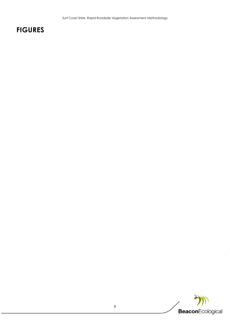# <span id="page-8-0"></span>**FIGURES**

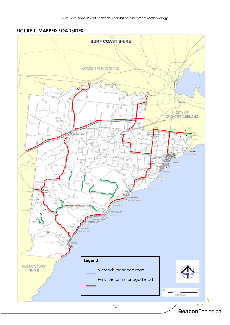### <span id="page-9-0"></span>**FIGURE 1. MAPPED ROADSIDES**

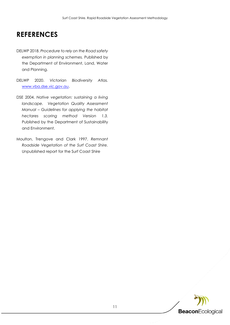# <span id="page-10-0"></span>**REFERENCES**

- DELWP 2018. *Procedure to rely on the Road safety exemption in planning schemes.* Published by the Department of Environment, Land, Water and Planning.
- DELWP 2020. *Victorian Biodiversity Atlas.*  [www.vba.dse.vic.gov.au.](http://www.vba.dse.vic.gov.au/)
- DSE 2004. *Native vegetation: sustaining a living landscape. Vegetation Quality Assessment Manual – Guidelines for applying the habitat hectares scoring method Version 1.3.* Published by the Department of Sustainability and Environment.
- Moulton, Trengove and Clark 1997. *Remnant Roadside Vegetation of the Surf Coast Shire.*  Unpublished report for the Surf Coast Shire